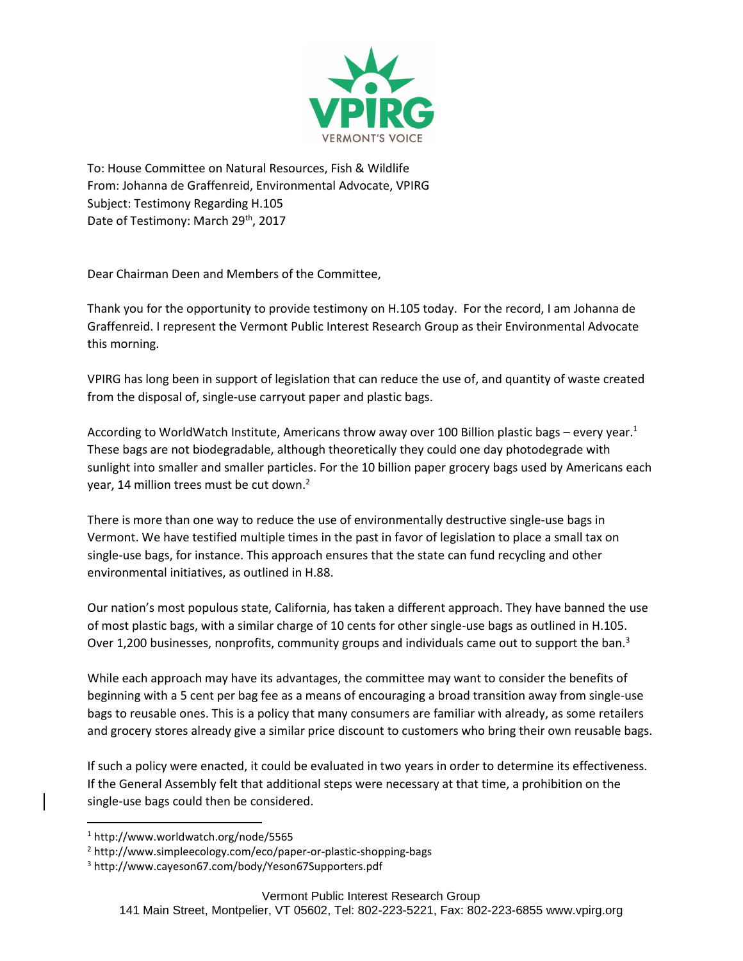

To: House Committee on Natural Resources, Fish & Wildlife From: Johanna de Graffenreid, Environmental Advocate, VPIRG Subject: Testimony Regarding H.105 Date of Testimony: March 29<sup>th</sup>, 2017

Dear Chairman Deen and Members of the Committee,

Thank you for the opportunity to provide testimony on H.105 today. For the record, I am Johanna de Graffenreid. I represent the Vermont Public Interest Research Group as their Environmental Advocate this morning.

VPIRG has long been in support of legislation that can reduce the use of, and quantity of waste created from the disposal of, single-use carryout paper and plastic bags.

According to WorldWatch Institute, Americans throw away over 100 Billion plastic bags – every year.<sup>1</sup> These bags are not biodegradable, although theoretically they could one day photodegrade with sunlight into smaller and smaller particles. For the 10 billion paper grocery bags used by Americans each year, 14 million trees must be cut down.<sup>2</sup>

There is more than one way to reduce the use of environmentally destructive single-use bags in Vermont. We have testified multiple times in the past in favor of legislation to place a small tax on single-use bags, for instance. This approach ensures that the state can fund recycling and other environmental initiatives, as outlined in H.88.

Our nation's most populous state, California, has taken a different approach. They have banned the use of most plastic bags, with a similar charge of 10 cents for other single-use bags as outlined in H.105. Over 1,200 businesses, nonprofits, community groups and individuals came out to support the ban.<sup>3</sup>

While each approach may have its advantages, the committee may want to consider the benefits of beginning with a 5 cent per bag fee as a means of encouraging a broad transition away from single-use bags to reusable ones. This is a policy that many consumers are familiar with already, as some retailers and grocery stores already give a similar price discount to customers who bring their own reusable bags.

If such a policy were enacted, it could be evaluated in two years in order to determine its effectiveness. If the General Assembly felt that additional steps were necessary at that time, a prohibition on the single-use bags could then be considered.

 $\overline{a}$ 

<sup>1</sup> http://www.worldwatch.org/node/5565

<sup>2</sup> http://www.simpleecology.com/eco/paper-or-plastic-shopping-bags

<sup>3</sup> http://www.cayeson67.com/body/Yeson67Supporters.pdf